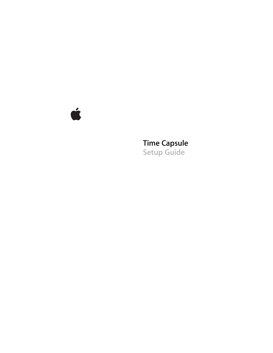

# **Time Capsule Setup Guide**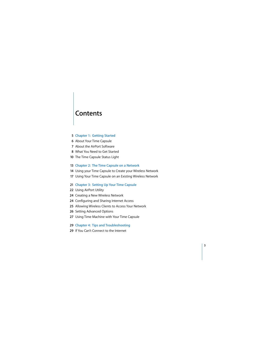# **Contents**

#### **Chapter 1: Getting Started**

- About Your Time Capsule
- About the AirPort Software
- What You Need to Get Started
- The Time Capsule Status Light

#### **Chapter 2: The Time Capsule on a Network**

- Using your Time Capsule to Create your Wireless Network
- Using Your Time Capsule on an Existing Wireless Network

#### **Chapter 3: Setting Up Your Time Capsule**

- Using AirPort Utility
- Creating a New Wireless Network
- Configuring and Sharing Internet Access
- Allowing Wireless Clients to Access Your Network
- Setting Advanced Options
- Using Time Machine with Your Time Capsule
- **Chapter 4: Tips and Troubleshooting**
- If You Can't Connect to the Internet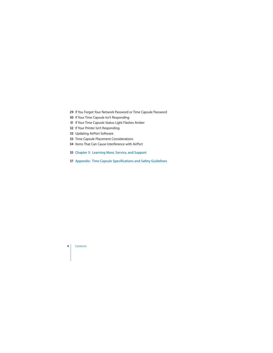- If You Forgot Your Network Password or Time Capsule Password
- If Your Time Capsule Isn't Responding
- If Your Time Capsule Status Light Flashes Amber
- If Your Printer Isn't Responding
- Updating AirPort Software
- Time Capsule Placement Considerations
- Items That Can Cause Interference with AirPort
- **Chapter 5: Learning More, Service, and Support**
- **Appendix: Time Capsule Specifications and Safety Guidelines**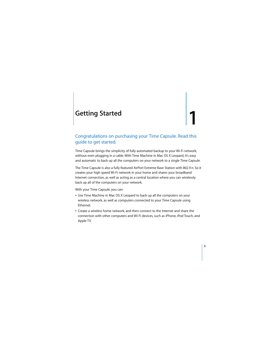# <span id="page-4-0"></span>**<sup>1</sup> Getting Started**

# **1**

# Congratulations on purchasing your Time Capsule. Read this guide to get started.

Time Capsule brings the simplicity of fully automated backup to your Wi-Fi network, without even plugging in a cable. With Time Machine in Mac OS X Leopard, it's easy and automatic to back up all the computers on your network to a single Time Capsule.

The Time Capsule is also a fully featured AirPort Extreme Base Station with 802.11n. So it creates your high speed Wi-Fi network in your home and shares your broadband Internet connection, as well as acting as a central location where you can wirelessly back up all of the computers on your network.

With your Time Capsule, you can:

- Use Time Machine in Mac OS X Leopard to back up all the computers on your wireless network, as well as computers connected to your Time Capsule using Ethernet.
- Create a wireless home network, and then connect to the Internet and share the connection with other computers and Wi-Fi devices, such as iPhone, iPod Touch, and Apple TV.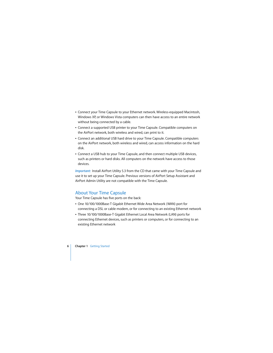- Connect your Time Capsule to your Ethernet network. Wireless-equipped Macintosh, Windows XP, or Windows Vista computers can then have access to an entire network without being connected by a cable.
- Â Connect a supported USB printer to your Time Capsule. Compatible computers on the AirPort network, both wireless and wired, can print to it.
- Connect an additional USB hard drive to your Time Capsule. Compatible computers on the AirPort network, both wireless and wired, can access information on the hard disk.
- Connect a USB hub to your Time Capsule, and then connect multiple USB devices, such as printers or hard disks. All computers on the network have access to those devices.

*Important:* Install AirPort Utility 5.3 from the CD that came with your Time Capsule and use it to set up your Time Capsule. Previous versions of AirPort Setup Assistant and AirPort Admin Utility are not compatible with the Time Capsule.

# <span id="page-5-0"></span>About Your Time Capsule

Your Time Capsule has five ports on the back:

- One 10/100/1000Base-T Gigabit Ethernet Wide Area Network (WAN) port for connecting a DSL or cable modem, or for connecting to an existing Ethernet network
- Three 10/100/1000Base-T Gigabit Ethernet Local Area Network (LAN) ports for connecting Ethernet devices, such as printers or computers, or for connecting to an existing Ethernet network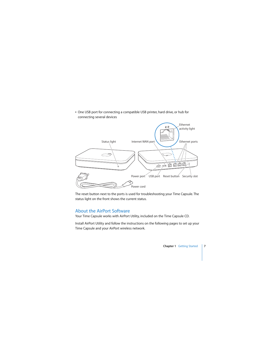• One USB port for connecting a compatible USB printer, hard drive, or hub for connecting several devices



The reset button next to the ports is used for troubleshooting your Time Capsule. The status light on the front shows the current status.

# <span id="page-6-0"></span>About the AirPort Software

Your Time Capsule works with AirPort Utility, included on the Time Capsule CD.

Install AirPort Utility and follow the instructions on the following pages to set up your Time Capsule and your AirPort wireless network.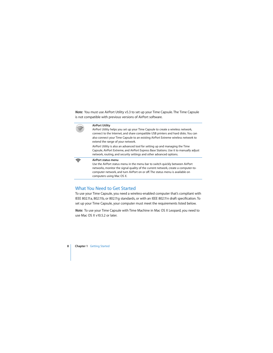*Note:* You must use AirPort Utility v5.3 to set up your Time Capsule. The Time Capsule is not compatible with previous versions of AirPort software.



#### **AirPort Utility**

AirPort Utility helps you set up your Time Capsule to create a wireless network, connect to the Internet, and share compatible USB printers and hard disks. You can also connect your Time Capsule to an existing AirPort Extreme wireless network to extend the range of your network.

AirPort Utility is also an advanced tool for setting up and managing the Time Capsule, AirPort Extreme, and AirPort Express Base Stations. Use it to manually adjust network, routing, and security settings and other advanced options.



#### **AirPort status menu**

Use the AirPort status menu in the menu bar to switch quickly between AirPort networks, monitor the signal quality of the current network, create a computer-tocomputer network, and turn AirPort on or off. The status menu is available on computers using Mac OS X.

# <span id="page-7-0"></span>What You Need to Get Started

To use your Time Capsule, you need a wireless-enabled computer that's compliant with IEEE 802.11a, 802.11b, or 802.11g standards, or with an IEEE 802.11n draft specification. To set up your Time Capsule, your computer must meet the requirements listed below.

*Note:* To use your Time Capsule with Time Machine in Mac OS X Leopard, you need to use Mac OS X v10.5.2 or later.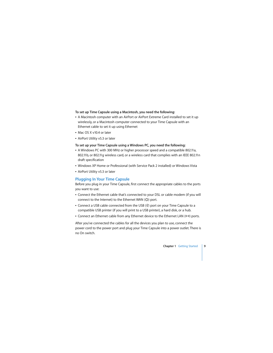#### **To set up Time Capsule using a Macintosh, you need the following:**

- A Macintosh computer with an AirPort or AirPort Extreme Card installed to set it up wirelessly, or a Macintosh computer connected to your Time Capsule with an Ethernet cable to set it up using Ethernet
- Mac OS X v10.4 or later
- AirPort Utility v5.3 or later

#### **To set up your Time Capsule using a Windows PC, you need the following:**

- A Windows PC with 300 MHz or higher processor speed and a compatible 802.11a. 802.11b, or 802.11g wireless card, or a wireless card that complies with an IEEE 802.11n draft specification
- Windows XP Home or Professional (with Service Pack 2 installed) or Windows Vista
- AirPort Utility v5.3 or later

## **Plugging In Your Time Capsule**

Before you plug in your Time Capsule, first connect the appropriate cables to the ports you want to use:

- Connect the Ethernet cable that's connected to your DSL or cable modem (if you will connect to the Internet) to the Ethernet WAN (::) port.
- Connect a USB cable connected from the USB  $(\dot{\Psi})$  port on your Time Capsule to a compatible USB printer (if you will print to a USB printer), a hard disk, or a hub.
- Connect an Ethernet cable from any Ethernet device to the Ethernet LAN ( $\leftrightarrow$ ) ports.

After you've connected the cables for all the devices you plan to use, connect the power cord to the power port and plug your Time Capsule into a power outlet. There is no On switch.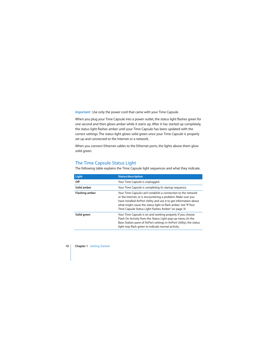*Important:* Use only the power cord that came with your Time Capsule.

When you plug your Time Capsule into a power outlet, the status light flashes green for one second and then glows amber while it starts up. After it has started up completely, the status light flashes amber until your Time Capsule has been updated with the correct settings. The status light glows solid green once your Time Capsule is properly set up and connected to the Internet or a network.

When you connect Ethernet cables to the Ethernet ports, the lights above them glow solid green.

## <span id="page-9-0"></span>The Time Capsule Status Light

The following table explains the Time Capsule light sequences and what they indicate.

| Light          | <b>Status/description</b>                                                                                                                                                                                                                                                                                                     |  |
|----------------|-------------------------------------------------------------------------------------------------------------------------------------------------------------------------------------------------------------------------------------------------------------------------------------------------------------------------------|--|
| Off            | Your Time Capsule is unplugged.                                                                                                                                                                                                                                                                                               |  |
| Solid amber    | Your Time Capsule is completing its startup sequence.                                                                                                                                                                                                                                                                         |  |
| Flashing amber | Your Time Capsule can't establish a connection to the network<br>or the Internet, or is encountering a problem. Make sure you<br>have installed AirPort Utility and use it to get information about<br>what might cause the status light to flash amber. See "If Your<br>Time Capsule Status Light Flashes Amber" on page 31. |  |
| Solid green    | Your Time Capsule is on and working properly. If you choose<br>Flash On Activity from the Status Light pop-up menu (in the<br>Base Station pane of AirPort settings in AirPort Utility), the status<br>light may flash green to indicate normal activity.                                                                     |  |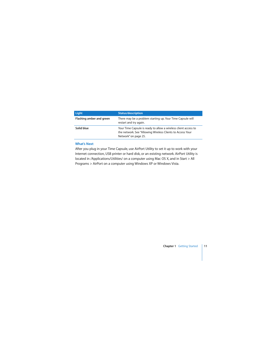| Light                    | <b>Status/description</b>                                                                                                                             |  |
|--------------------------|-------------------------------------------------------------------------------------------------------------------------------------------------------|--|
| Flashing amber and green | There may be a problem starting up. Your Time Capsule will<br>restart and try again.                                                                  |  |
| Solid blue               | Your Time Capsule is ready to allow a wireless client access to<br>the network. See "Allowing Wireless Clients to Access Your<br>Network" on page 25. |  |

#### **What's Next**

After you plug in your Time Capsule, use AirPort Utility to set it up to work with your Internet connection, USB printer or hard disk, or an existing network. AirPort Utility is located in /Applications/Utilities/ on a computer using Mac OS X, and in Start > All Programs > AirPort on a computer using Windows XP or Windows Vista.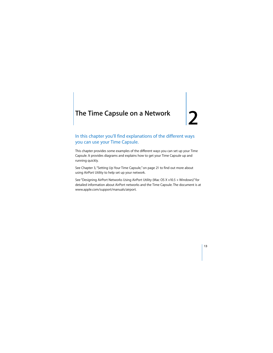# <span id="page-12-0"></span>**<sup>2</sup> The Time Capsule on a Network**

# In this chapter you'll find explanations of the different ways you can use your Time Capsule.

This chapter provides some examples of the different ways you can set up your Time Capsule. It provides diagrams and explains how to get your Time Capsule up and running quickly.

See [Chapter 3, "Setting Up Your Time Capsule," on page 21](#page-20-1) to find out more about using AirPort Utility to help set up your network.

See "Designing AirPort Networks Using AirPort Utility (Mac OS X v10.5 + Windows)" for detailed information about AirPort networks and the Time Capsule. The document is at www.apple.com/support/manuals/airport.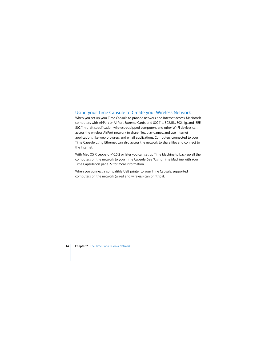# <span id="page-13-0"></span>Using your Time Capsule to Create your Wireless Network

When you set up your Time Capsule to provide network and Internet access, Macintosh computers with AirPort or AirPort Extreme Cards, and 802.11a, 802.11b, 802.11g, and IEEE 802.11n draft specification wireless-equipped computers, and other Wi-Fi devices can access the wireless AirPort network to share files, play games, and use Internet applications like web browsers and email applications. Computers connected to your Time Capsule using Ethernet can also access the network to share files and connect to the Internet.

With Mac OS X Leopard v10.5.2 or later you can set up Time Machine to back up all the computers on the network to your Time Capsule. See ["Using Time Machine with Your](#page-26-1)  [Time Capsule" on page 27](#page-26-1) for more information.

When you connect a compatible USB printer to your Time Capsule, supported computers on the network (wired and wireless) can print to it.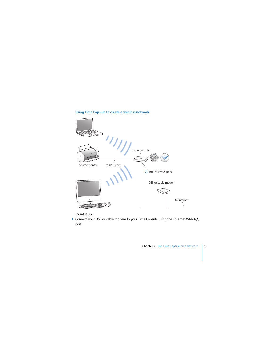

#### **Using Time Capsule to create a wireless network**

#### **To set it up:**

1 Connect your DSL or cable modem to your Time Capsule using the Ethernet WAN ( $\ddot{\ddot{\cdot}}$ ) port.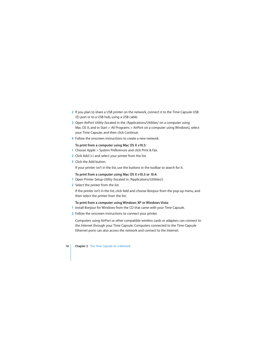- **2** If you plan to share a USB printer on the network, connect it to the Time Capsule USB  $(\dot{\Psi})$  port or to a USB hub, using a USB cable.
- **3** Open AirPort Utility (located in the /Applications/Utilities/ on a computer using Mac OS X, and in Start > All Programs > AirPort on a computer using Windows), select your Time Capsule, and then click Continue.
- **4** Follow the onscreen instructions to create a new network.

#### **To print from a computer using Mac OS X v10.5:**

- **1** Choose Apple > System Preferences and click Print & Fax.
- **2** Click Add (+) and select your printer from the list.
- **3** Click the Add button.

If your printer isn't in the list, use the buttons in the toolbar to search for it.

#### **To print from a computer using Mac OS X v10.3 or 10.4:**

- **1** Open Printer Setup Utility (located in /Applications/Utilities/).
- **2** Select the printer from the list.

If the printer isn't in the list, click Add and choose Bonjour from the pop-up menu, and then select the printer from the list.

#### **To print from a computer using Windows XP or Windows Vista:**

- **1** Install Bonjour for Windows from the CD that came with your Time Capsule.
- **2** Follow the onscreen instructions to connect your printer.

Computers using AirPort or other compatible wireless cards or adapters can connect to the Internet through your Time Capsule. Computers connected to the Time Capsule Ethernet ports can also access the network and connect to the Internet.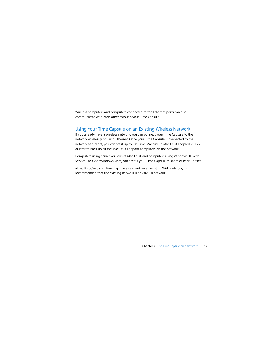Wireless computers and computers connected to the Ethernet ports can also communicate with each other through your Time Capsule.

## <span id="page-16-0"></span>Using Your Time Capsule on an Existing Wireless Network

If you already have a wireless network, you can connect your Time Capsule to the network wirelessly or using Ethernet. Once your Time Capsule is connected to the network as a client, you can set it up to use Time Machine in Mac OS X Leopard v10.5.2 or later to back up all the Mac OS X Leopard computers on the network.

Computers using earlier versions of Mac OS X, and computers using Windows XP with Service Pack 2 or Windows Vista, can access your Time Capsule to share or back up files.

*Note:* If you're using Time Capsule as a client on an existing Wi-Fi network, it's recommended that the existing network is an 802.11n network.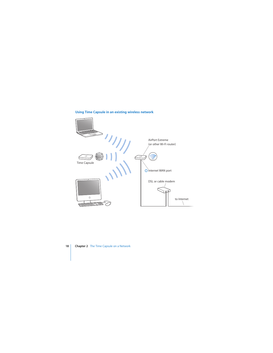

#### **Using Time Capsule in an existing wireless network**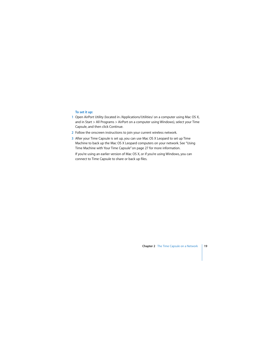#### **To set it up:**

- **1** Open AirPort Utility (located in /Applications/Utilities/ on a computer using Mac OS X, and in Start > All Programs > AirPort on a computer using Windows), select your Time Capsule, and then click Continue.
- **2** Follow the onscreen instructions to join your current wireless network.
- **3** After your Time Capsule is set up, you can use Mac OS X Leopard to set up Time Machine to back up the Mac OS X Leopard computers on your network. See ["Using](#page-26-1)  [Time Machine with Your Time Capsule" on page 27](#page-26-1) for more information. If you're using an earlier version of Mac OS X, or if you're using Windows, you can

connect to Time Capsule to share or back up files.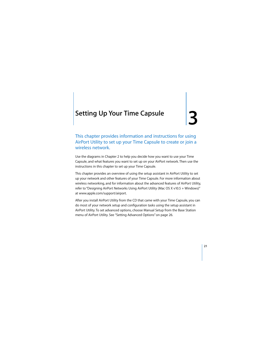# <span id="page-20-1"></span><span id="page-20-0"></span>**<sup>3</sup> Setting Up Your Time Capsule**

# This chapter provides information and instructions for using AirPort Utility to set up your Time Capsule to create or join a wireless network.

Use the diagrams in Chapter 2 to help you decide how you want to use your Time Capsule, and what features you want to set up on your AirPort network. Then use the instructions in this chapter to set up your Time Capsule.

This chapter provides an overview of using the setup assistant in AirPort Utility to set up your network and other features of your Time Capsule. For more information about wireless networking, and for information about the advanced features of AirPort Utility, refer to "Designing AirPort Networks Using AirPort Utility (Mac OS X v10.5 + Windows)" at www.apple.com/support/airport.

After you install AirPort Utility from the CD that came with your Time Capsule, you can do most of your network setup and configuration tasks using the setup assistant in AirPort Utility. To set advanced options, choose Manual Setup from the Base Station menu of AirPort Utility. See ["Setting Advanced Options" on page 26.](#page-25-0)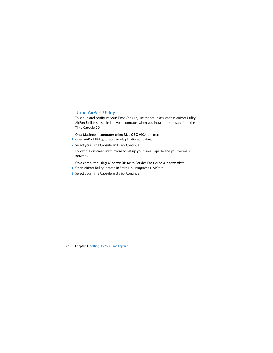# <span id="page-21-0"></span>Using AirPort Utility

To set up and configure your Time Capsule, use the setup assistant in AirPort Utility. AirPort Utility is installed on your computer when you install the software from the Time Capsule CD.

#### **On a Macintosh computer using Mac OS X v10.4 or later:**

- **1** Open AirPort Utility, located in /Applications/Utilities/.
- **2** Select your Time Capsule and click Continue.
- **3** Follow the onscreen instructions to set up your Time Capsule and your wireless network.

#### **On a computer using Windows XP (with Service Pack 2) or Windows Vista:**

- **1** Open AirPort Utility, located in Start > All Programs > AirPort.
- **2** Select your Time Capsule and click Continue.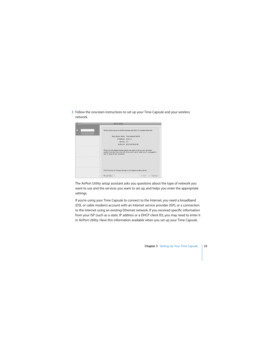**3** Follow the onscreen instructions to set up your Time Capsule and your wireless network.



The AirPort Utility setup assistant asks you questions about the type of network you want to use and the services you want to set up, and helps you enter the appropriate settings.

If you're using your Time Capsule to connect to the Internet, you need a broadband (DSL or cable modem) account with an Internet service provider (ISP), or a connection to the Internet using an existing Ethernet network. If you received specific information from your ISP (such as a static IP address or a DHCP client ID), you may need to enter it in AirPort Utility. Have this information available when you set up your Time Capsule.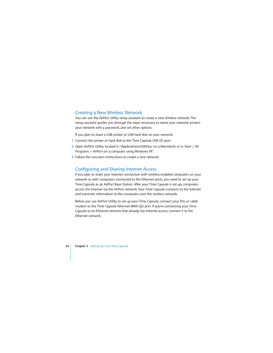## <span id="page-23-0"></span>Creating a New Wireless Network

You can use the AirPort Utility setup assistant to create a new wireless network. The setup assistant guides you through the steps necessary to name your network, protect your network with a password, and set other options.

If you plan to share a USB printer or USB hard disk on your network:

- **1** Connect the printer or hard disk to the Time Capsule USB  $(\psi)$  port.
- **2** Open AirPort Utility, located in /Applications/Utilities/ on a Macintosh, or in Start > All Programs > AirPort on a computer using Windows XP.
- **3** Follow the onscreen instructions to create a new network.

# <span id="page-23-1"></span>Configuring and Sharing Internet Access

If you plan to share your Internet connection with wireless-enabled computers on your network or with computers connected to the Ethernet ports, you need to set up your Time Capsule as an AirPort Base Station. After your Time Capsule is set up, computers access the Internet via the AirPort network. Your Time Capsule connects to the Internet and transmits information to the computers over the wireless network.

Before you use AirPort Utility to set up your Time Capsule, connect your DSL or cable modem to the Time Capsule Ethernet WAN  $($ :  $)$  port. If you're connecting your Time Capsule to an Ethernet network that already has Internet access, connect it to the Ethernet network.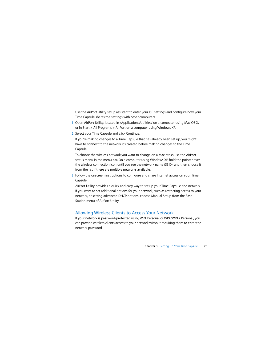Use the AirPort Utility setup assistant to enter your ISP settings and configure how your Time Capsule shares the settings with other computers.

- **1** Open AirPort Utility, located in /Applications/Utilities/ on a computer using Mac OS X, or in Start > All Programs > AirPort on a computer using Windows XP.
- **2** Select your Time Capsule and click Continue.

If you're making changes to a Time Capsule that has already been set up, you might have to connect to the network it's created before making changes to the Time Capsule.

To choose the wireless network you want to change on a Macintosh use the AirPort status menu in the menu bar. On a computer using Windows XP, hold the pointer over the wireless connection icon until you see the network name (SSID), and then choose it from the list if there are multiple networks available.

**3** Follow the onscreen instructions to configure and share Internet access on your Time Capsule.

AirPort Utility provides a quick and easy way to set up your Time Capsule and network. If you want to set additional options for your network, such as restricting access to your network, or setting advanced DHCP options, choose Manual Setup from the Base Station menu of AirPort Utility.

# <span id="page-24-1"></span><span id="page-24-0"></span>Allowing Wireless Clients to Access Your Network

If your network is password-protected using WPA Personal or WPA/WPA2 Personal, you can provide wireless clients access to your network without requiring them to enter the network password.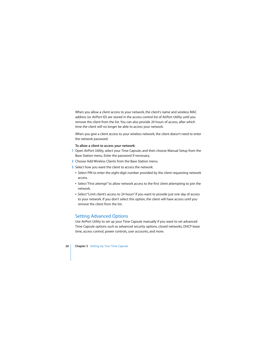When you allow a client access to your network, the client's name and wireless MAC address (or AirPort ID) are stored in the access control list of AirPort Utility until you remove the client from the list. You can also provide 24 hours of access, after which time the client will no longer be able to access your network.

When you give a client access to your wireless network, the client doesn't need to enter the network password.

#### **To allow a client to access your network:**

- **1** Open AirPort Utility, select your Time Capsule, and then choose Manual Setup from the Base Station menu. Enter the password if necessary.
- **2** Choose Add Wireless Clients from the Base Station menu.
- **3** Select how you want the client to access the network:
	- Select PIN to enter the eight-digit number provided by the client requesting network access.
	- Select "First attempt" to allow network access to the first client attempting to join the network.
	- Select "Limit client's access to 24 hours" if you want to provide just one day of access to your network. If you don't select this option, the client will have access until you remove the client from the list.

# <span id="page-25-0"></span>Setting Advanced Options

Use AirPort Utility to set up your Time Capsule manually if you want to set advanced Time Capsule options such as advanced security options, closed networks, DHCP lease time, access control, power controls, user accounts, and more.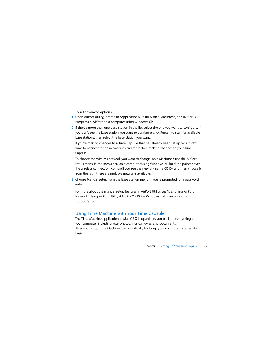#### **To set advanced options:**

- **1** Open AirPort Utility, located in /Applications/Utilities/ on a Macintosh, and in Start > All Programs > AirPort on a computer using Windows XP.
- **2** If there's more than one base station in the list, select the one you want to configure. If you don't see the base station you want to configure, click Rescan to scan for available base stations, then select the base station you want.

If you're making changes to a Time Capsule that has already been set up, you might have to connect to the network it's created before making changes to your Time Capsule.

To choose the wireless network you want to change, on a Macintosh use the AirPort status menu in the menu bar. On a computer using Windows XP, hold the pointer over the wireless connection icon until you see the network name (SSID), and then choose it from the list if there are multiple networks available.

**3** Choose Manual Setup from the Base Station menu. If you're prompted for a password, enter it.

For more about the manual setup features in AirPort Utility, see "Designing AirPort Networks Using AirPort Utility (Mac OS X v10.5 + Windows)" at www.apple.com/ support/airport.

# <span id="page-26-1"></span><span id="page-26-0"></span>Using Time Machine with Your Time Capsule

The Time Machine application in Mac OS X Leopard lets you back up everything on your computer, including your photos, music, movies, and documents. After you set up Time Machine, it automatically backs up your computer on a regular basis.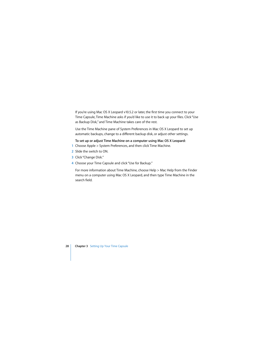If you're using Mac OS X Leopard v10.5.2 or later, the first time you connect to your Time Capsule, Time Machine asks if you'd like to use it to back up your files. Click "Use as Backup Disk," and Time Machine takes care of the rest.

Use the Time Machine pane of System Preferences in Mac OS X Leopard to set up automatic backups, change to a different backup disk, or adjust other settings.

#### **To set up or adjust Time Machine on a computer using Mac OS X Leopard:**

- **1** Choose Apple > System Preferences, and then click Time Machine.
- **2** Slide the switch to ON.
- **3** Click "Change Disk."
- **4** Choose your Time Capsule and click "Use for Backup."

For more information about Time Machine, choose Help > Mac Help from the Finder menu on a computer using Mac OS X Leopard, and then type Time Machine in the search field.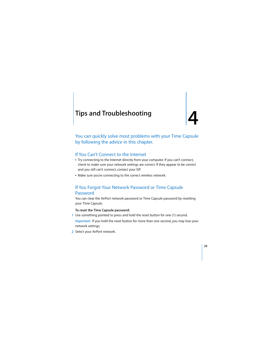# <span id="page-28-0"></span>**<sup>4</sup> Tips and Troubleshooting**

**4**

# You can quickly solve most problems with your Time Capsule by following the advice in this chapter.

# <span id="page-28-1"></span>If You Can't Connect to the Internet

- Try connecting to the Internet directly from your computer. If you can't connect, check to make sure your network settings are correct. If they appear to be correct and you still can't connect, contact your ISP.
- Make sure you're connecting to the correct wireless network.

## <span id="page-28-2"></span>If You Forgot Your Network Password or Time Capsule **Password**

You can clear the AirPort network password or Time Capsule password by resetting your Time Capsule.

#### **To reset the Time Capsule password:**

- **1** Use something pointed to press and hold the reset button for one (1) second. *Important:* If you hold the reset button for more than one second, you may lose your network settings.
- **2** Select your AirPort network.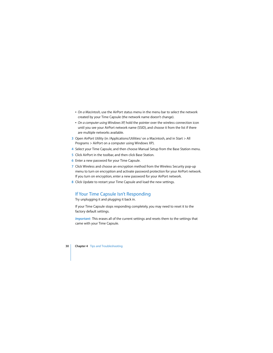- On a Macintosh, use the AirPort status menu in the menu bar to select the network created by your Time Capsule (the network name doesn't change).
- On a computer using Windows XP, hold the pointer over the wireless connection icon until you see your AirPort network name (SSID), and choose it from the list if there are multiple networks available.
- **3** Open AirPort Utility (in /Applications/Utilities/ on a Macintosh, and in Start > All Programs > AirPort on a computer using Windows XP).
- **4** Select your Time Capsule, and then choose Manual Setup from the Base Station menu.
- **5** Click AirPort in the toolbar, and then click Base Station.
- **6** Enter a new password for your Time Capsule.
- **7** Click Wireless and choose an encryption method from the Wireless Security pop-up menu to turn on encryption and activate password protection for your AirPort network. If you turn on encryption, enter a new password for your AirPort network.
- **8** Click Update to restart your Time Capsule and load the new settings.

# <span id="page-29-0"></span>If Your Time Capsule Isn't Responding

Try unplugging it and plugging it back in.

If your Time Capsule stops responding completely, you may need to reset it to the factory default settings.

*Important:* This erases all of the current settings and resets them to the settings that came with your Time Capsule.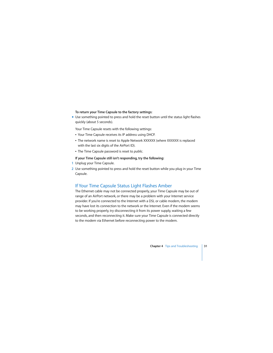#### **To return your Time Capsule to the factory settings:**

m Use something pointed to press and hold the reset button until the status light flashes quickly (about 5 seconds).

Your Time Capsule resets with the following settings:

- Your Time Capsule receives its IP address using DHCP.
- The network name is reset to Apple Network XXXXXX (where XXXXXX is replaced with the last six digits of the AirPort ID).
- The Time Capsule password is reset to *public*.

#### **If your Time Capsule still isn't responding, try the following:**

- **1** Unplug your Time Capsule.
- **2** Use something pointed to press and hold the reset button while you plug in your Time Capsule.

# <span id="page-30-1"></span><span id="page-30-0"></span>If Your Time Capsule Status Light Flashes Amber

The Ethernet cable may not be connected properly, your Time Capsule may be out of range of an AirPort network, or there may be a problem with your Internet service provider. If you're connected to the Internet with a DSL or cable modem, the modem may have lost its connection to the network or the Internet. Even if the modem seems to be working properly, try disconnecting it from its power supply, waiting a few seconds, and then reconnecting it. Make sure your Time Capsule is connected directly to the modem via Ethernet before reconnecting power to the modem.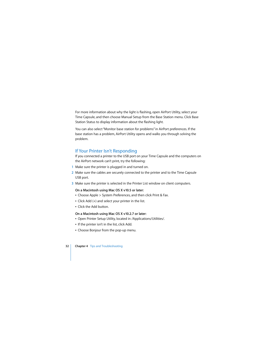For more information about why the light is flashing, open AirPort Utility, select your Time Capsule, and then choose Manual Setup from the Base Station menu. Click Base Station Status to display information about the flashing light.

You can also select "Monitor base station for problems" in AirPort preferences. If the base station has a problem, AirPort Utility opens and walks you through solving the problem.

# <span id="page-31-0"></span>If Your Printer Isn't Responding

If you connected a printer to the USB port on your Time Capsule and the computers on the AirPort network can't print, try the following:

- **1** Make sure the printer is plugged in and turned on.
- **2** Make sure the cables are securely connected to the printer and to the Time Capsule USB port.
- **3** Make sure the printer is selected in the Printer List window on client computers.

#### **On a Macintosh using Mac OS X v10.5 or later:**

- Choose Apple > System Preferences, and then click Print & Fax.
- $\cdot$  Click Add (+) and select your printer in the list.
- Click the Add button.

#### **On a Macintosh using Mac OS X v10.2.7 or later:**

- Open Printer Setup Utility, located in /Applications/Utilities/.
- If the printer isn't in the list, click Add.
- Choose Bonjour from the pop-up menu.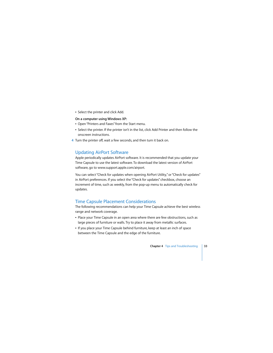• Select the printer and click Add.

#### **On a computer using Windows XP:**

- Open "Printers and Faxes" from the Start menu.
- Select the printer. If the printer isn't in the list, click Add Printer and then follow the onscreen instructions.
- **4** Turn the printer off, wait a few seconds, and then turn it back on.

# <span id="page-32-0"></span>Updating AirPort Software

Apple periodically updates AirPort software. It is recommended that you update your Time Capsule to use the latest software. To download the latest version of AirPort software, go to www.support.apple.com/airport.

You can select "Check for updates when opening AirPort Utility," or "Check for updates" in AirPort preferences. If you select the "Check for updates" checkbox, choose an increment of time, such as weekly, from the pop-up menu to automatically check for updates.

# <span id="page-32-1"></span>Time Capsule Placement Considerations

The following recommendations can help your Time Capsule achieve the best wireless range and network coverage.

- Place your Time Capsule in an open area where there are few obstructions, such as large pieces of furniture or walls. Try to place it away from metallic surfaces.
- If you place your Time Capsule behind furniture, keep at least an inch of space between the Time Capsule and the edge of the furniture.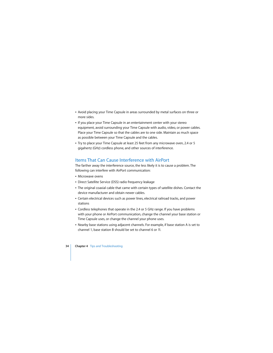- Avoid placing your Time Capsule in areas surrounded by metal surfaces on three or more sides.
- If you place your Time Capsule in an entertainment center with your stereo equipment, avoid surrounding your Time Capsule with audio, video, or power cables. Place your Time Capsule so that the cables are to one side. Maintain as much space as possible between your Time Capsule and the cables.
- Try to place your Time Capsule at least 25 feet from any microwave oven, 2.4 or 5 gigahertz (GHz) cordless phone, and other sources of interference.

# <span id="page-33-0"></span>Items That Can Cause Interference with AirPort

The farther away the interference source, the less likely it is to cause a problem. The following can interfere with AirPort communication:

- Microwave ovens
- Direct Satellite Service (DSS) radio frequency leakage
- The original coaxial cable that came with certain types of satellite dishes. Contact the device manufacturer and obtain newer cables.
- Certain electrical devices such as power lines, electrical railroad tracks, and power stations
- Cordless telephones that operate in the 2.4 or 5 GHz range. If you have problems with your phone or AirPort communication, change the channel your base station or Time Capsule uses, or change the channel your phone uses.
- Nearby base stations using adjacent channels. For example, if base station A is set to channel 1, base station B should be set to channel 6 or 11.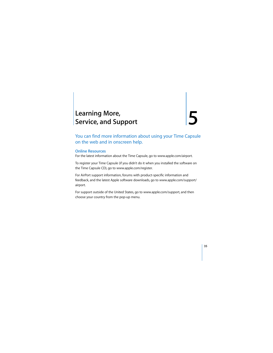# <span id="page-34-1"></span><span id="page-34-0"></span>**<sup>5</sup> Learning More, Service, and Support**

You can find more information about using your Time Capsule on the web and in onscreen help.

## **Online Resources**

For the latest information about the Time Capsule, go to www.apple.com/airport.

To register your Time Capsule (if you didn't do it when you installed the software on the Time Capsule CD), go to www.apple.com/register.

For AirPort support information, forums with product-specific information and feedback, and the latest Apple software downloads, go to www.apple.com/support/ airport.

For support outside of the United States, go to www.apple.com/support, and then choose your country from the pop-up menu.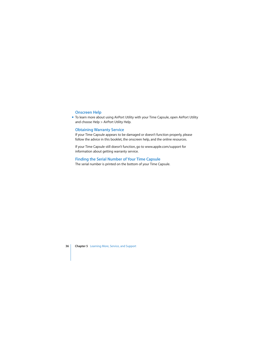#### **Onscreen Help**

■ To learn more about using AirPort Utility with your Time Capsule, open AirPort Utility and choose Help > AirPort Utility Help.

#### **Obtaining Warranty Service**

If your Time Capsule appears to be damaged or doesn't function properly, please follow the advice in this booklet, the onscreen help, and the online resources.

If your Time Capsule still doesn't function, go to www.apple.com/support for information about getting warranty service.

#### **Finding the Serial Number of Your Time Capsule**

The serial number is printed on the bottom of your Time Capsule.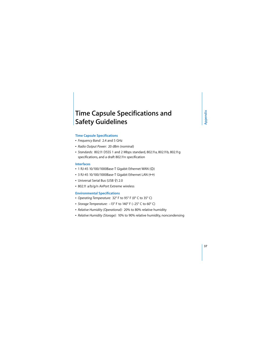# <span id="page-36-0"></span>**Time Capsule Specifications and Safety Guidelines**

#### **Time Capsule Specifications**

- Â *Frequency Band:* 2.4 and 5 GHz
- Â *Radio Output Power:* 20 dBm (nominal)
- Â *Standards:* 802.11 DSSS 1 and 2 Mbps standard, 802.11a, 802.11b, 802.11g specifications, and a draft 802.11n specification

#### **Interfaces**

- 1 RJ-45 10/100/1000Base-T Gigabit Ethernet WAN  $($
- 3 RJ-45 10/100/1000Base-T Gigabit Ethernet LAN (<-->>
- Universal Serial Bus (USB  $\dot{\Psi}$ ) 2.0
- 802.11 a/b/g/n AirPort Extreme wireless

#### **Environmental Specifications**

- Â *Operating Temperature:* 32° F to 95° F (0° C to 35° C)
- Â *Storage Temperature:* –13° F to 140° F (–25° C to 60° C)
- Â *Relative Humidity (Operational):* 20% to 80% relative humidity
- Â *Relative Humidity (Storage):* 10% to 90% relative humidity, noncondensing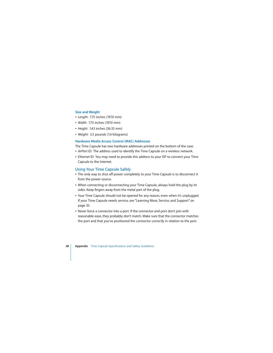#### **Size and Weight**

- Â *Length:* 7.75 inches (197.0 mm)
- *Width: 7.75* inches (197.0 mm)
- Â *Height:* 1.43 inches (36.33 mm)
- Weight: 3.5 pounds (1.6 kilograms)

#### **Hardware Media Access Control (MAC) Addresses**

The Time Capsule has two hardware addresses printed on the bottom of the case:

- AirPort ID: The address used to identify the Time Capsule on a wireless network.
- *Ethernet ID:* You may need to provide this address to your ISP to connect your Time Capsule to the Internet.

### **Using Your Time Capsule Safely**

- The only way to shut off power completely to your Time Capsule is to disconnect it from the power source.
- When connecting or disconnecting your Time Capsule, always hold the plug by its sides. Keep fingers away from the metal part of the plug.
- Your Time Capsule should not be opened for any reason, even when it's unplugged. If your Time Capsule needs service, see ["Learning More, Service, and Support" on](#page-34-1)  [page 35.](#page-34-1)
- Never force a connector into a port. If the connector and port don't join with reasonable ease, they probably don't match. Make sure that the connector matches the port and that you've positioned the connector correctly in relation to the port.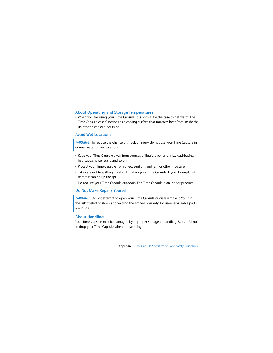#### **About Operating and Storage Temperatures**

• When you are using your Time Capsule, it is normal for the case to get warm. The Time Capsule case functions as a cooling surface that transfers heat from inside the unit to the cooler air outside.

#### **Avoid Wet Locations**

*WARNING:* To reduce the chance of shock or injury, do not use your Time Capsule in or near water or wet locations.

- Keep your Time Capsule away from sources of liquid, such as drinks, washbasins, bathtubs, shower stalls, and so on.
- Protect your Time Capsule from direct sunlight and rain or other moisture.
- Take care not to spill any food or liquid on your Time Capsule. If you do, unplug it before cleaning up the spill.
- Do not use your Time Capsule outdoors. The Time Capsule is an indoor product.

#### **Do Not Make Repairs Yourself**

*WARNING:* Do not attempt to open your Time Capsule or disassemble it. You run the risk of electric shock and voiding the limited warranty. No user-serviceable parts are inside.

#### **About Handling**

Your Time Capsule may be damaged by improper storage or handling. Be careful not to drop your Time Capsule when transporting it.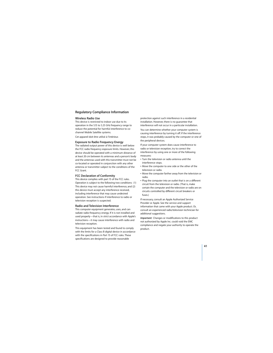#### **Regulatory Compliance Information**

#### **Wireless Radio Use**

This device is restricted to indoor use due to its operation in the 5.15 to 5.25 GHz frequency range to reduce the potential for harmful interference to cochannel Mobile Satellite systems.

Cet appareil doit être utilisé à l'intérieur.

#### **Exposure to Radio Frequency Energy**

The radiated output power of this device is well below the FCC radio frequency exposure limits. However, this device should be operated with a minimum distance of at least 20 cm between its antennas and a person's body and the antennas used with this transmitter must not be co-located or operated in conjunction with any other antenna or transmitter subject to the conditions of the FCC Grant.

#### **FCC Declaration of Conformity**

This device complies with part 15 of the FCC rules. Operation is subject to the following two conditions: (1) This device may not cause harmful interference, and (2) this device must accept any interference received, including interference that may cause undesired operation. See instructions if interference to radio or television reception is suspected.

#### **Radio and Television Interference**

This computer equipment generates, uses, and can radiate radio-frequency energy. If it is not installed and used properly—that is, in strict accordance with Apple's instructions—it may cause interference with radio and television reception.

This equipment has been tested and found to comply with the limits for a Class B digital device in accordance with the specifications in Part 15 of FCC rules. These specifications are designed to provide reasonable

protection against such interference in a residential installation. However, there is no guarantee that interference will not occur in a particular installation.

You can determine whether your computer system is causing interference by turning it off. If the interference stops, it was probably caused by the computer or one of the peripheral devices.

If your computer system does cause interference to radio or television reception, try to correct the interference by using one or more of the following measures:

- **Turn the television or radio antenna until the** interference stops.
- Move the computer to one side or the other of the television or radio.
- Move the computer farther away from the television or radio.
- Plug the computer into an outlet that is on a different circuit from the television or radio. (That is, make certain the computer and the television or radio are on circuits controlled by different circuit breakers or fuses.)

If necessary, consult an Apple Authorized Service Provider or Apple. See the service and support information that came with your Apple product. Or, consult an experienced radio/television technician for additional suggestions.

*Important:* Changes or modifications to this product not authorized by Apple Inc. could void the EMC compliance and negate your authority to operate the product.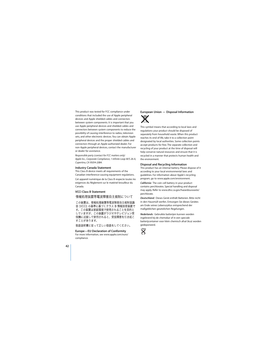This product was tested for FCC compliance under conditions that included the use of Apple peripheral devices and Apple shielded cables and connectors between system components. It is important that you use Apple peripheral devices and shielded cables and connectors between system components to reduce the possibility of causing interference to radios, television sets, and other electronic devices. You can obtain Apple peripheral devices and the proper shielded cables and connectors through an Apple-authorized dealer. For non-Apple peripheral devices, contact the manufacturer or dealer for assistance.

*Responsible party (contact for FCC matters only) Apple Inc., Corporate Compliance, 1 Infinite Loop M/S 26-A, Cupertino, CA 95014-2084.*

#### **Industry Canada Statement**

This Class B device meets all requirements of the Canadian interference-causing equipment regulations.

Cet appareil numérique de la Class B respecte toutes les exigences du Règlement sur le matériel brouilleur du Canada.

#### **VCCI Class B Statement**

情報処理装置等雷波障害白主規制について

この装置は、情報処理装置等雷波障害白主規制協議 会(VCCI)の基準に基づくクラスB情報技術装置で す。この装置は家庭環境で使用されることを目的と していますが、この装置がラジオやテレビジョン受 信機に近接して使用されると、受信障害を引き起こ すことがあります。

取扱説明書に従って正しい取扱をしてください。

#### **Europe—EU Declaration of Conformity**

For more information, see www.apple.com/euro/ compliance.

#### **European Union — Disposal Information**



This symbol means that according to local laws and regulations your product should be disposed of separately from household waste. When this product reaches its end of life, take it to a collection point designated by local authorities. Some collection points accept products for free. The separate collection and recycling of your product at the time of disposal will help conserve natural resources and ensure that it is recycled in a manner that protects human health and the environment.

#### **Disposal and Recycling Information**

This product has an internal battery. Please dispose of it according to your local environmental laws and guidelines. For information about Apple's recycling program, go to www.apple.com/environment.

*California:* The coin cell battery in your product contains perchlorates. Special handling and disposal may apply. Refer to www.dtsc.ca.gov/hazardouswaste/ perchlorate.

*Deutschland:* Dieses Gerät enthält Batterien. Bitte nicht in den Hausmüll werfen. Entsorgen Sie dieses Gerätes am Ende seines Lebenszyklus entsprechend der maßgeblichen gesetzlichen Regelungen.

*Nederlands:* Gebruikte batterijen kunnen worden ingeleverd bij de chemokar of in een speciale batterijcontainer voor klein chemisch afval (kca) worden gedeponeerd.

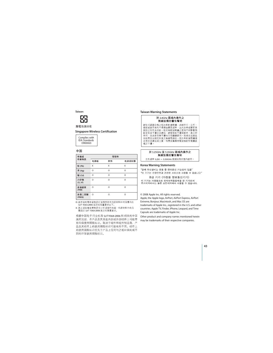*Taiwan:*



廢雷池諸回收

#### **Singapore Wireless Certification**

Complies with **IDA** Standards DR00063

#### 中国

| 有毒或<br>有害物质     | 零部件      |          |         |  |
|-----------------|----------|----------|---------|--|
|                 | 电路板      | 附件       | 电源适配器   |  |
| 铅 (Pb)          | X        | X        | X       |  |
| 汞 (Hg)          | O        | Ō        | $\circ$ |  |
| 镉(Cd)           | O        | Ō        | Ó       |  |
| 六价铬<br>(Cr, VI) | O        | Ō        | Ó       |  |
| 多溴联苯<br>(PBB)   | $\Omega$ | $\Omega$ | Ó       |  |
| 多溴二苯醚<br>(PBDE) | O        | $\Omega$ | Ó       |  |

Q: 表示该有毒有害物质在该部件所有均质材料中的含量均在 SI/T 11363-2006 规定的限量要求以下。

X: 表示该有毒有害物质至少在该部件的某一均质材料中的含 量超出 SJ/T 11363-2006 规定的限量要求。

根据中国电子行业标准 SJ/T11364-2006和相关的中国 政府法规、本产品及其某些内部或外部组件上可能带 有环保使用期限标识。取决于组件和组件制造商,产 品及其组件上的使用期限标识可能有所不同。组件上 的使用期限标识优先干产品上任何与之相冲突的或不 同的环保使用期限标识。

#### **Taiwan Warning Statements**

#### 於 24GHz 區域內操作之 無線設備的警告聲明

經型式認證合格之低功率射頻雷機,非經許可,公司、 商號或使用者均不得擅自變更頻率、加大功率或變更原 設計之特性及功能。低功率射頻雷機之使用不得影響飛 航安全及干擾合法通信;經發現有干擾現象時,應立即 停用,並改善至無干擾時方得繼續使用。前項合法通信 指依雷信法規定作業之無線雷通信。低功率射頻雷機須 忍受合法通信或工業、科學及醫療用雷波輻射性雷機設 備之干擾。

#### 於 5 25GHz 至 5 35GHz 區域內操作之 無線設備的警告擊明

工作頻率 5.250 ~ 5.350GHz 該頻段限於室內使用。

#### **Korea Warning Statements**

"당해 무선설비는 운용 중 전파혼신 가능성이 있음" "이 기기는 인명안전과 관련된 서비스에 사용할 수 없습니다"

B급 기기 (가정용 정보통신기기) 이 기기는 가정용으로 전자파적합등록을 한 기기로서 주거지역에서는 물론 모든지역에서 사용할 수 있습니다.

© 2008 Apple Inc. All rights reserved.

Apple, the Apple logo, AirPort, AirPort Express, AirPort Extreme, Bonjour, Macintosh, and Mac OS are trademarks of Apple Inc., registered in the U.S. and other countries. Apple TV, Finder, iPhone, Leopard, and Time Capsule are trademarks of Apple Inc.

Other product and company names mentioned herein may be trademarks of their respective companies.